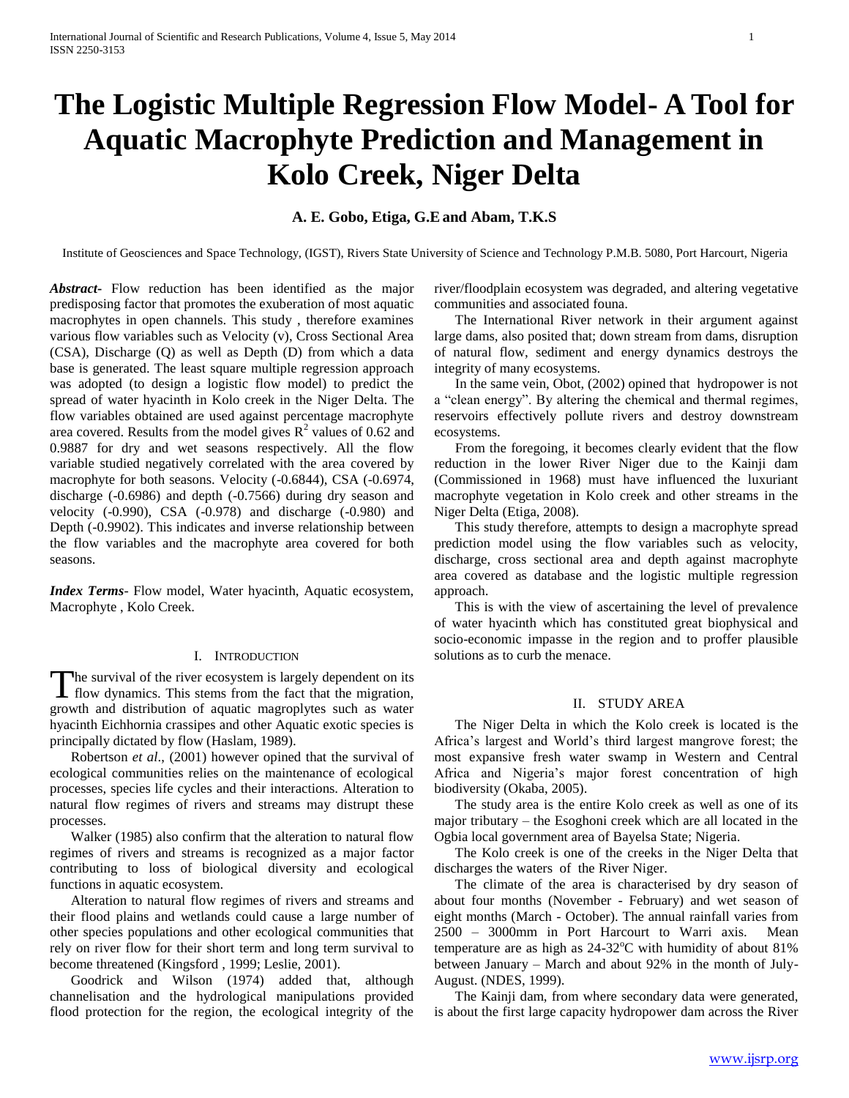# **The Logistic Multiple Regression Flow Model- A Tool for Aquatic Macrophyte Prediction and Management in Kolo Creek, Niger Delta**

# **A. E. Gobo, Etiga, G.Eand Abam, T.K.S**

Institute of Geosciences and Space Technology, (IGST), Rivers State University of Science and Technology P.M.B. 5080, Port Harcourt, Nigeria

*Abstract***-** Flow reduction has been identified as the major predisposing factor that promotes the exuberation of most aquatic macrophytes in open channels. This study , therefore examines various flow variables such as Velocity (v), Cross Sectional Area (CSA), Discharge (Q) as well as Depth (D) from which a data base is generated. The least square multiple regression approach was adopted (to design a logistic flow model) to predict the spread of water hyacinth in Kolo creek in the Niger Delta. The flow variables obtained are used against percentage macrophyte area covered. Results from the model gives  $\mathbb{R}^2$  values of 0.62 and 0.9887 for dry and wet seasons respectively. All the flow variable studied negatively correlated with the area covered by macrophyte for both seasons. Velocity (-0.6844), CSA (-0.6974, discharge (-0.6986) and depth (-0.7566) during dry season and velocity (-0.990), CSA (-0.978) and discharge (-0.980) and Depth (-0.9902). This indicates and inverse relationship between the flow variables and the macrophyte area covered for both seasons.

*Index Terms*- Flow model, Water hyacinth, Aquatic ecosystem, Macrophyte , Kolo Creek.

# I. INTRODUCTION

The survival of the river ecosystem is largely dependent on its The survival of the river ecosystem is largely dependent on its flow dynamics. This stems from the fact that the migration, growth and distribution of aquatic magroplytes such as water hyacinth Eichhornia crassipes and other Aquatic exotic species is principally dictated by flow (Haslam, 1989).

 Robertson *et al*., (2001) however opined that the survival of ecological communities relies on the maintenance of ecological processes, species life cycles and their interactions. Alteration to natural flow regimes of rivers and streams may distrupt these processes.

 Walker (1985) also confirm that the alteration to natural flow regimes of rivers and streams is recognized as a major factor contributing to loss of biological diversity and ecological functions in aquatic ecosystem.

 Alteration to natural flow regimes of rivers and streams and their flood plains and wetlands could cause a large number of other species populations and other ecological communities that rely on river flow for their short term and long term survival to become threatened (Kingsford , 1999; Leslie, 2001).

 Goodrick and Wilson (1974) added that, although channelisation and the hydrological manipulations provided flood protection for the region, the ecological integrity of the river/floodplain ecosystem was degraded, and altering vegetative communities and associated founa.

 The International River network in their argument against large dams, also posited that; down stream from dams, disruption of natural flow, sediment and energy dynamics destroys the integrity of many ecosystems.

 In the same vein, Obot, (2002) opined that hydropower is not a "clean energy". By altering the chemical and thermal regimes, reservoirs effectively pollute rivers and destroy downstream ecosystems.

 From the foregoing, it becomes clearly evident that the flow reduction in the lower River Niger due to the Kainji dam (Commissioned in 1968) must have influenced the luxuriant macrophyte vegetation in Kolo creek and other streams in the Niger Delta (Etiga, 2008).

 This study therefore, attempts to design a macrophyte spread prediction model using the flow variables such as velocity, discharge, cross sectional area and depth against macrophyte area covered as database and the logistic multiple regression approach.

 This is with the view of ascertaining the level of prevalence of water hyacinth which has constituted great biophysical and socio-economic impasse in the region and to proffer plausible solutions as to curb the menace.

# II. STUDY AREA

 The Niger Delta in which the Kolo creek is located is the Africa's largest and World's third largest mangrove forest; the most expansive fresh water swamp in Western and Central Africa and Nigeria's major forest concentration of high biodiversity (Okaba, 2005).

 The study area is the entire Kolo creek as well as one of its major tributary – the Esoghoni creek which are all located in the Ogbia local government area of Bayelsa State; Nigeria.

 The Kolo creek is one of the creeks in the Niger Delta that discharges the waters of the River Niger.

 The climate of the area is characterised by dry season of about four months (November - February) and wet season of eight months (March - October). The annual rainfall varies from 2500 – 3000mm in Port Harcourt to Warri axis. Mean temperature are as high as  $24-32^{\circ}$ C with humidity of about 81% between January – March and about 92% in the month of July-August. (NDES, 1999).

 The Kainji dam, from where secondary data were generated, is about the first large capacity hydropower dam across the River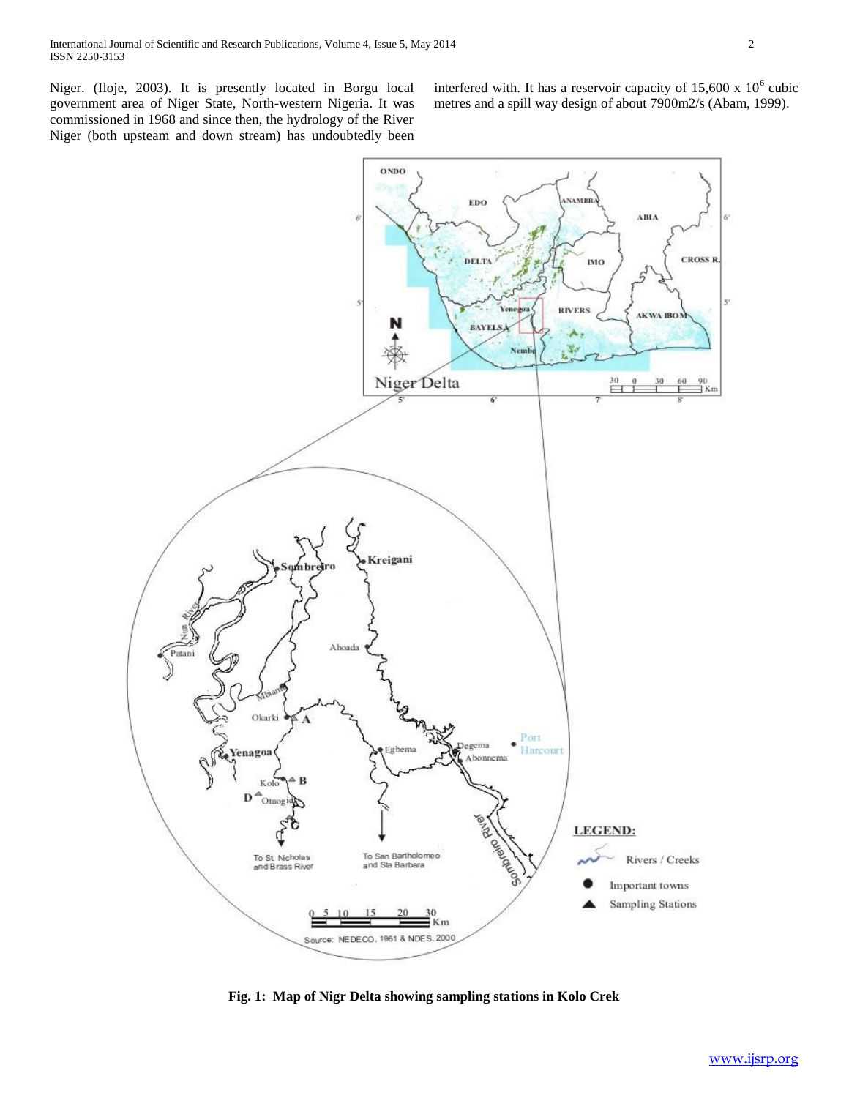Niger. (Iloje, 2003). It is presently located in Borgu local government area of Niger State, North-western Nigeria. It was commissioned in 1968 and since then, the hydrology of the River Niger (both upsteam and down stream) has undoubtedly been

interfered with. It has a reservoir capacity of  $15,600 \times 10^6$  cubic metres and a spill way design of about 7900m2/s (Abam, 1999).



**Fig. 1: Map of Nigr Delta showing sampling stations in Kolo Crek**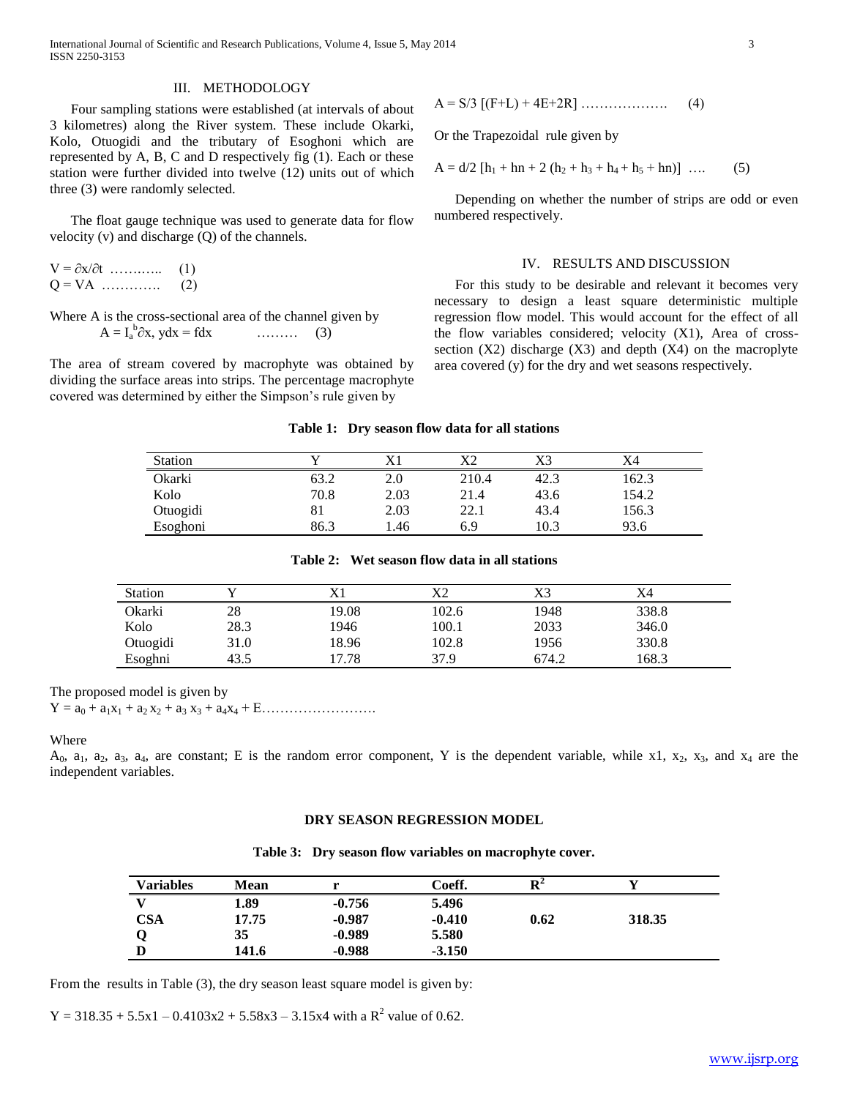International Journal of Scientific and Research Publications, Volume 4, Issue 5, May 2014 3 ISSN 2250-3153

#### III. METHODOLOGY

 Four sampling stations were established (at intervals of about 3 kilometres) along the River system. These include Okarki, Kolo, Otuogidi and the tributary of Esoghoni which are represented by A, B, C and D respectively fig (1). Each or these station were further divided into twelve (12) units out of which three (3) were randomly selected.

 The float gauge technique was used to generate data for flow velocity (v) and discharge (Q) of the channels.

 $V = \partial x / \partial t$  …………... (1) Q = VA …………. (2)

Where A is the cross-sectional area of the channel given by  $A = I_a^b$  $\dots\dots\dots$  (3)

The area of stream covered by macrophyte was obtained by dividing the surface areas into strips. The percentage macrophyte covered was determined by either the Simpson's rule given by

$$
A = S/3 [(F+L) + 4E+2R] \dots (4)
$$

Or the Trapezoidal rule given by

$$
A = d/2 [h1 + hn + 2 (h2 + h3 + h4 + h5 + hn)] \dots (5)
$$

 Depending on whether the number of strips are odd or even numbered respectively.

## IV. RESULTS AND DISCUSSION

 For this study to be desirable and relevant it becomes very necessary to design a least square deterministic multiple regression flow model. This would account for the effect of all the flow variables considered; velocity (X1), Area of crosssection  $(X2)$  discharge  $(X3)$  and depth  $(X4)$  on the macroplyte area covered (y) for the dry and wet seasons respectively.

#### **Table 1: Dry season flow data for all stations**

| <b>Station</b> |      |      |       | X3   | X4    |
|----------------|------|------|-------|------|-------|
| Okarki         | 63.2 | 2.0  | 210.4 | 42.3 | 162.3 |
| Kolo           | 70.8 | 2.03 | 21.4  | 43.6 | 154.2 |
| Otuogidi       |      | 2.03 | 22.1  | 43.4 | 156.3 |
| Esoghoni       | 86.3 | .46  | 6.9   | 10.3 | 93.6  |

| Table 2: Wet season flow data in all stations |  |  |  |
|-----------------------------------------------|--|--|--|
|-----------------------------------------------|--|--|--|

| <b>Station</b> |      |       |       | X3    | X4    |  |
|----------------|------|-------|-------|-------|-------|--|
| Okarki         | 28   | 19.08 | 102.6 | 1948  | 338.8 |  |
| Kolo           | 28.3 | 1946  | 100.1 | 2033  | 346.0 |  |
| Otuogidi       | 31.0 | 18.96 | 102.8 | 1956  | 330.8 |  |
| Esoghni        | 43.5 | 17.78 | 37.9  | 674.2 | 168.3 |  |

The proposed model is given by

 $Y = a_0 + a_1x_1 + a_2x_2 + a_3x_3 + a_4x_4 + E \dots$ 

# Where

 $A_0$ ,  $a_1$ ,  $a_2$ ,  $a_3$ ,  $a_4$ , are constant; E is the random error component, Y is the dependent variable, while x1,  $x_2$ ,  $x_3$ , and  $x_4$  are the independent variables.

## **DRY SEASON REGRESSION MODEL**

|  |  |  | Table 3: Dry season flow variables on macrophyte cover. |
|--|--|--|---------------------------------------------------------|
|--|--|--|---------------------------------------------------------|

| Variables | Mean  |          | Coeff.   | ${\bf D}^2$ |        |  |
|-----------|-------|----------|----------|-------------|--------|--|
|           | 1.89  | $-0.756$ | 5.496    |             |        |  |
| CSA       | 17.75 | $-0.987$ | $-0.410$ | 0.62        | 318.35 |  |
|           | 35    | $-0.989$ | 5.580    |             |        |  |
|           | 141.6 | $-0.988$ | $-3.150$ |             |        |  |

From the results in Table (3), the dry season least square model is given by:

 $Y = 318.35 + 5.5x1 - 0.4103x2 + 5.58x3 - 3.15x4$  with a  $R^2$  value of 0.62.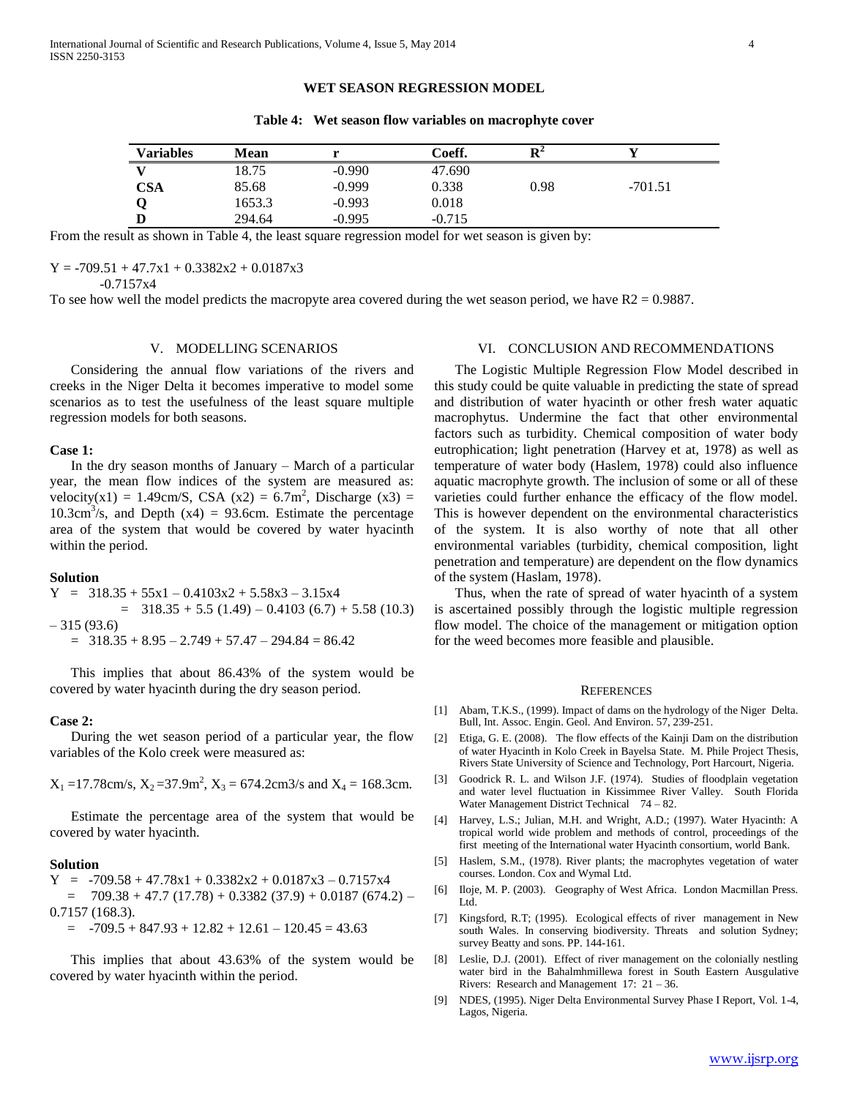# **WET SEASON REGRESSION MODEL**

**Table 4: Wet season flow variables on macrophyte cover**

| Variables  | Mean   |          | Coeff.   | D4   |           |
|------------|--------|----------|----------|------|-----------|
|            | 18.75  | $-0.990$ | 47.690   |      |           |
| <b>CSA</b> | 85.68  | $-0.999$ | 0.338    | 0.98 | $-701.51$ |
|            | 1653.3 | $-0.993$ | 0.018    |      |           |
|            | 294.64 | $-0.995$ | $-0.715$ |      |           |

From the result as shown in Table 4, the least square regression model for wet season is given by:

 $Y = -709.51 + 47.7x1 + 0.3382x2 + 0.0187x3$ 

-0.7157x4

To see how well the model predicts the macropyte area covered during the wet season period, we have  $R2 = 0.9887$ .

# V. MODELLING SCENARIOS

 Considering the annual flow variations of the rivers and creeks in the Niger Delta it becomes imperative to model some scenarios as to test the usefulness of the least square multiple regression models for both seasons.

# **Case 1:**

 In the dry season months of January – March of a particular year, the mean flow indices of the system are measured as: velocity(x1) = 1.49cm/S, CSA (x2) =  $6.7$ m<sup>2</sup>, Discharge (x3) =  $10.3 \text{cm}^3/\text{s}$ , and Depth (x4) = 93.6cm. Estimate the percentage area of the system that would be covered by water hyacinth within the period.

## **Solution**

$$
Y = 318.35 + 55x1 - 0.4103x2 + 5.58x3 - 3.15x4
$$
  
= 318.35 + 5.5 (1.49) - 0.4103 (6.7) + 5.58 (10.3)  
- 315 (93.6)  
= 318.35 + 8.95 - 2.749 + 57.47 - 294.84 = 86.42

 This implies that about 86.43% of the system would be covered by water hyacinth during the dry season period.

#### **Case 2:**

 During the wet season period of a particular year, the flow variables of the Kolo creek were measured as:

 $X_1 = 17.78$ cm/s,  $X_2 = 37.9$ m<sup>2</sup>,  $X_3 = 674.2$ cm3/s and  $X_4 = 168.3$ cm.

 Estimate the percentage area of the system that would be covered by water hyacinth.

#### **Solution**

 $Y = -709.58 + 47.78x1 + 0.3382x2 + 0.0187x3 - 0.7157x4$  $= 709.38 + 47.7 (17.78) + 0.3382 (37.9) + 0.0187 (674.2) -$ 0.7157 (168.3).  $=$   $-709.5 + 847.93 + 12.82 + 12.61 - 120.45 = 43.63$ 

 This implies that about 43.63% of the system would be covered by water hyacinth within the period.

# VI. CONCLUSION AND RECOMMENDATIONS

 The Logistic Multiple Regression Flow Model described in this study could be quite valuable in predicting the state of spread and distribution of water hyacinth or other fresh water aquatic macrophytus. Undermine the fact that other environmental factors such as turbidity. Chemical composition of water body eutrophication; light penetration (Harvey et at, 1978) as well as temperature of water body (Haslem, 1978) could also influence aquatic macrophyte growth. The inclusion of some or all of these varieties could further enhance the efficacy of the flow model. This is however dependent on the environmental characteristics of the system. It is also worthy of note that all other environmental variables (turbidity, chemical composition, light penetration and temperature) are dependent on the flow dynamics of the system (Haslam, 1978).

 Thus, when the rate of spread of water hyacinth of a system is ascertained possibly through the logistic multiple regression flow model. The choice of the management or mitigation option for the weed becomes more feasible and plausible.

#### **REFERENCES**

- [1] Abam, T.K.S., (1999). Impact of dams on the hydrology of the Niger Delta. Bull, Int. Assoc. Engin. Geol. And Environ. 57, 239-251.
- [2] Etiga, G. E. (2008). The flow effects of the Kainji Dam on the distribution of water Hyacinth in Kolo Creek in Bayelsa State. M. Phile Project Thesis, Rivers State University of Science and Technology, Port Harcourt, Nigeria.
- [3] Goodrick R. L. and Wilson J.F. (1974). Studies of floodplain vegetation and water level fluctuation in Kissimmee River Valley. South Florida Water Management District Technical 74 – 82.
- [4] Harvey, L.S.; Julian, M.H. and Wright, A.D.; (1997). Water Hyacinth: A tropical world wide problem and methods of control, proceedings of the first meeting of the International water Hyacinth consortium, world Bank.
- [5] Haslem, S.M., (1978). River plants; the macrophytes vegetation of water courses. London. Cox and Wymal Ltd.
- [6] Iloje, M. P. (2003). Geography of West Africa. London Macmillan Press. Ltd.
- [7] Kingsford, R.T; (1995). Ecological effects of river management in New south Wales. In conserving biodiversity. Threats and solution Sydney; survey Beatty and sons. PP. 144-161.
- [8] Leslie, D.J. (2001). Effect of river management on the colonially nestling water bird in the Bahalmhmillewa forest in South Eastern Ausgulative Rivers: Research and Management 17: 21 – 36.
- [9] NDES, (1995). Niger Delta Environmental Survey Phase I Report, Vol. 1-4, Lagos, Nigeria.